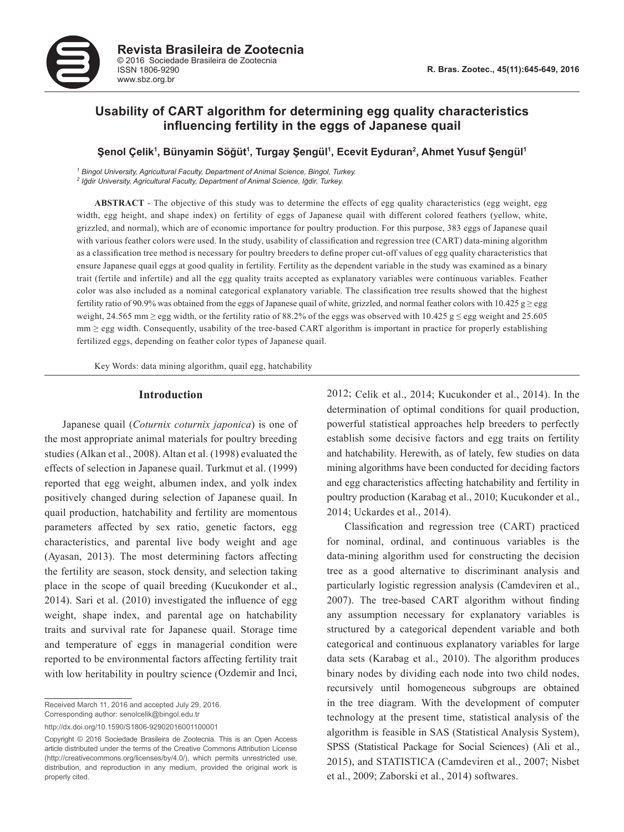

# **Usability of CART algorithm for determining egg quality characteristics influencing fertility in the eggs of Japanese quail**

# Şenol Çelik<sup>ı</sup>, Bünyamin Söğüt<sup>ı</sup>, Turgay Şengül<sup>ı</sup>, Ecevit Eyduran<sup>2</sup>, Ahmet Yusuf Şengül<sup>ı</sup>

<sup>1</sup> Bingol University, Agricultural Faculty, Department of Animal Science, Bingol, Turkey. *2 Iğdir University, Agricultural Faculty, Department of Animal Science, Iğdir, Turkey.* 

**ABSTRACT** - The objective of this study was to determine the effects of egg quality characteristics (egg weight, egg width, egg height, and shape index) on fertility of eggs of Japanese quail with different colored feathers (yellow, white, grizzled, and normal), which are of economic importance for poultry production. For this purpose, 383 eggs of Japanese quail with various feather colors were used. In the study, usability of classification and regression tree (CART) data-mining algorithm as a classification tree method is necessary for poultry breeders to define proper cut-off values of egg quality characteristics that ensure Japanese quail eggs at good quality in fertility. Fertility as the dependent variable in the study was examined as a binary trait (fertile and infertile) and all the egg quality traits accepted as explanatory variables were continuous variables. Feather color was also included as a nominal categorical explanatory variable. The classification tree results showed that the highest fertility ratio of 90.9% was obtained from the eggs of Japanese quail of white, grizzled, and normal feather colors with 10.425 g  $\geq$  egg weight, 24.565 mm  $\geq$  egg width, or the fertility ratio of 88.2% of the eggs was observed with 10.425 g  $\leq$  egg weight and 25.605 mm ≥ egg width. Consequently, usability of the tree-based CART algorithm is important in practice for properly establishing fertilized eggs, depending on feather color types of Japanese quail.

Key Words: data mining algorithm, quail egg, hatchability

#### **Introduction**

Japanese quail (*Coturnix coturnix japonica*) is one of the most appropriate animal materials for poultry breeding studies (Alkan et al., 2008). Altan et al. (1998) evaluated the effects of selection in Japanese quail. Turkmut et al. (1999) reported that egg weight, albumen index, and yolk index positively changed during selection of Japanese quail. In quail production, hatchability and fertility are momentous parameters affected by sex ratio, genetic factors, egg characteristics, and parental live body weight and age (Ayasan, 2013). The most determining factors affecting the fertility are season, stock density, and selection taking place in the scope of quail breeding (Kucukonder et al., 2014). Sari et al. (2010) investigated the influence of egg weight, shape index, and parental age on hatchability traits and survival rate for Japanese quail. Storage time and temperature of eggs in managerial condition were reported to be environmental factors affecting fertility trait with low heritability in poultry science (Ozdemir and Inci, 2012; Celik et al., 2014; Kucukonder et al., 2014). In the determination of optimal conditions for quail production, powerful statistical approaches help breeders to perfectly establish some decisive factors and egg traits on fertility and hatchability. Herewith, as of lately, few studies on data mining algorithms have been conducted for deciding factors and egg characteristics affecting hatchability and fertility in poultry production (Karabag et al., 2010; Kucukonder et al., 2014; Uckardes et al., 2014).

Classification and regression tree (CART) practiced for nominal, ordinal, and continuous variables is the data-mining algorithm used for constructing the decision tree as a good alternative to discriminant analysis and particularly logistic regression analysis (Camdeviren et al., 2007). The tree-based CART algorithm without finding any assumption necessary for explanatory variables is structured by a categorical dependent variable and both categorical and continuous explanatory variables for large data sets (Karabag et al., 2010). The algorithm produces binary nodes by dividing each node into two child nodes, recursively until homogeneous subgroups are obtained in the tree diagram. With the development of computer technology at the present time, statistical analysis of the algorithm is feasible in SAS (Statistical Analysis System), SPSS (Statistical Package for Social Sciences) (Ali et al., 2015), and STATISTICA (Camdeviren et al., 2007; Nisbet et al., 2009; Zaborski et al., 2014) softwares.

Received March 11, 2016 and accepted July 29, 2016. Corresponding author: senolcelik@bingol.edu.tr

http://dx.doi.org/10.1590/S1806-92902016001100001

Copyright © 2016 Sociedade Brasileira de Zootecnia. This is an Open Access article distributed under the terms of the Creative Commons Attribution License (http://creativecommons.org/licenses/by/4.0/), which permits unrestricted use, distribution, and reproduction in any medium, provided the original work is properly cited.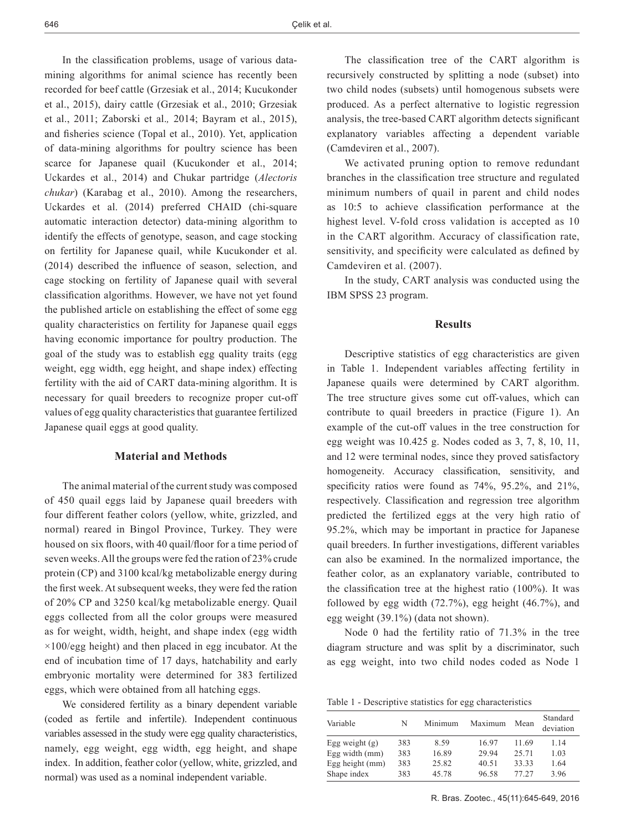In the classification problems, usage of various datamining algorithms for animal science has recently been recorded for beef cattle (Grzesiak et al., 2014; Kucukonder et al., 2015), dairy cattle (Grzesiak et al., 2010; Grzesiak et al., 2011; Zaborski et al.*,* 2014; Bayram et al., 2015), and fisheries science (Topal et al., 2010). Yet, application of data-mining algorithms for poultry science has been scarce for Japanese quail (Kucukonder et al., 2014; Uckardes et al., 2014) and Chukar partridge (*Alectoris chukar*) (Karabag et al., 2010). Among the researchers, Uckardes et al. (2014) preferred CHAID (chi-square automatic interaction detector) data-mining algorithm to identify the effects of genotype, season, and cage stocking on fertility for Japanese quail, while Kucukonder et al. (2014) described the influence of season, selection, and cage stocking on fertility of Japanese quail with several classification algorithms. However, we have not yet found the published article on establishing the effect of some egg quality characteristics on fertility for Japanese quail eggs having economic importance for poultry production. The goal of the study was to establish egg quality traits (egg weight, egg width, egg height, and shape index) effecting fertility with the aid of CART data-mining algorithm. It is necessary for quail breeders to recognize proper cut-off values of egg quality characteristics that guarantee fertilized Japanese quail eggs at good quality.

## **Material and Methods**

The animal material of the current study was composed of 450 quail eggs laid by Japanese quail breeders with four different feather colors (yellow, white, grizzled, and normal) reared in Bingol Province, Turkey. They were housed on six floors, with 40 quail/floor for a time period of seven weeks. All the groups were fed the ration of 23% crude protein (CP) and 3100 kcal/kg metabolizable energy during the first week. At subsequent weeks, they were fed the ration of 20% CP and 3250 kcal/kg metabolizable energy. Quail eggs collected from all the color groups were measured as for weight, width, height, and shape index (egg width  $\times$ 100/egg height) and then placed in egg incubator. At the end of incubation time of 17 days, hatchability and early embryonic mortality were determined for 383 fertilized eggs, which were obtained from all hatching eggs.

We considered fertility as a binary dependent variable (coded as fertile and infertile). Independent continuous variables assessed in the study were egg quality characteristics, namely, egg weight, egg width, egg height, and shape index. In addition, feather color (yellow, white, grizzled, and normal) was used as a nominal independent variable.

The classification tree of the CART algorithm is recursively constructed by splitting a node (subset) into two child nodes (subsets) until homogenous subsets were produced. As a perfect alternative to logistic regression analysis, the tree-based CART algorithm detects significant explanatory variables affecting a dependent variable (Camdeviren et al., 2007).

We activated pruning option to remove redundant branches in the classification tree structure and regulated minimum numbers of quail in parent and child nodes as 10:5 to achieve classification performance at the highest level. V-fold cross validation is accepted as 10 in the CART algorithm. Accuracy of classification rate, sensitivity, and specificity were calculated as defined by Camdeviren et al. (2007).

In the study, CART analysis was conducted using the IBM SPSS 23 program.

### **Results**

Descriptive statistics of egg characteristics are given in Table 1. Independent variables affecting fertility in Japanese quails were determined by CART algorithm. The tree structure gives some cut off-values, which can contribute to quail breeders in practice (Figure 1). An example of the cut-off values in the tree construction for egg weight was 10.425 g. Nodes coded as 3, 7, 8, 10, 11, and 12 were terminal nodes, since they proved satisfactory homogeneity. Accuracy classification, sensitivity, and specificity ratios were found as 74%, 95.2%, and 21%, respectively. Classification and regression tree algorithm predicted the fertilized eggs at the very high ratio of 95.2%, which may be important in practice for Japanese quail breeders. In further investigations, different variables can also be examined. In the normalized importance, the feather color, as an explanatory variable, contributed to the classification tree at the highest ratio (100%). It was followed by egg width (72.7%), egg height (46.7%), and egg weight (39.1%) (data not shown).

Node 0 had the fertility ratio of 71.3% in the tree diagram structure and was split by a discriminator, such as egg weight, into two child nodes coded as Node 1

Table 1 - Descriptive statistics for egg characteristics

| Variable          | N   | Minimum | Maximum | Mean  | Standard<br>deviation |
|-------------------|-----|---------|---------|-------|-----------------------|
| Egg weight $(g)$  | 383 | 8.59    | 16.97   | 11.69 | 1.14                  |
| Egg width $(mm)$  | 383 | 16.89   | 29.94   | 25.71 | 1.03                  |
| Egg height $(mm)$ | 383 | 25.82   | 40.51   | 33.33 | 1.64                  |
| Shape index       | 383 | 45 78   | 96.58   | 77 27 | 3.96                  |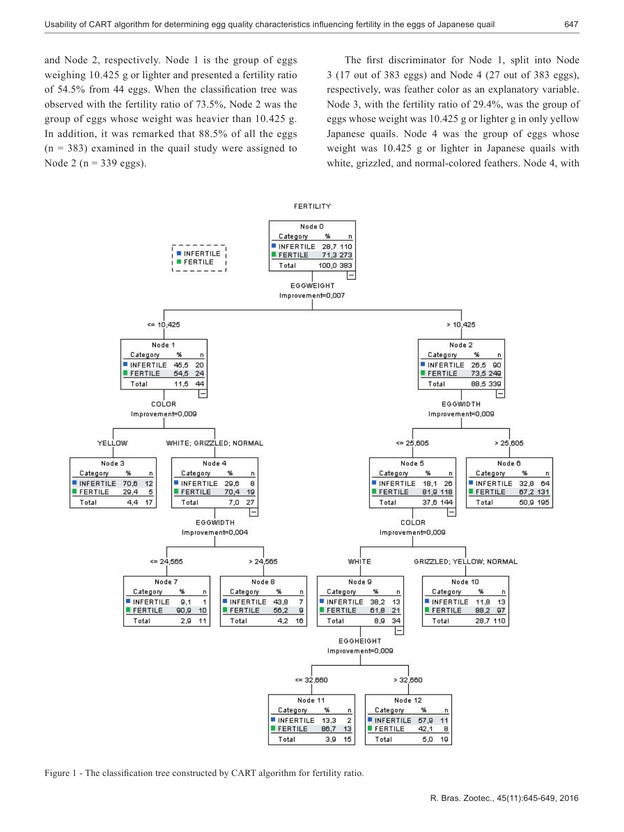and Node 2, respectively. Node 1 is the group of eggs weighing 10.425 g or lighter and presented a fertility ratio of 54.5% from 44 eggs. When the classification tree was observed with the fertility ratio of 73.5%, Node 2 was the group of eggs whose weight was heavier than 10.425 g. In addition, it was remarked that 88.5% of all the eggs  $(n = 383)$  examined in the quail study were assigned to Node 2 ( $n = 339$  eggs).

The first discriminator for Node 1, split into Node 3 (17 out of 383 eggs) and Node 4 (27 out of 383 eggs), respectively, was feather color as an explanatory variable. Node 3, with the fertility ratio of 29.4%, was the group of eggs whose weight was 10.425 g or lighter g in only yellow Japanese quails. Node 4 was the group of eggs whose weight was 10.425 g or lighter in Japanese quails with white, grizzled, and normal-colored feathers. Node 4, with



Figure 1 - The classification tree constructed by CART algorithm for fertility ratio.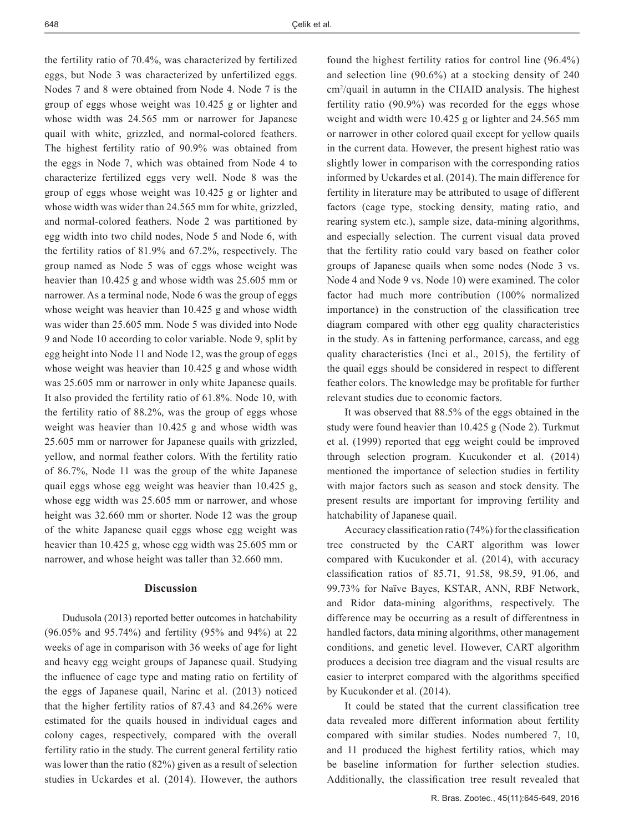the fertility ratio of 70.4%, was characterized by fertilized eggs, but Node 3 was characterized by unfertilized eggs. Nodes 7 and 8 were obtained from Node 4. Node 7 is the group of eggs whose weight was 10.425 g or lighter and whose width was 24.565 mm or narrower for Japanese quail with white, grizzled, and normal-colored feathers. The highest fertility ratio of 90.9% was obtained from the eggs in Node 7, which was obtained from Node 4 to characterize fertilized eggs very well. Node 8 was the group of eggs whose weight was 10.425 g or lighter and whose width was wider than 24.565 mm for white, grizzled, and normal-colored feathers. Node 2 was partitioned by egg width into two child nodes, Node 5 and Node 6, with the fertility ratios of 81.9% and 67.2%, respectively. The group named as Node 5 was of eggs whose weight was heavier than 10.425 g and whose width was 25.605 mm or narrower. As a terminal node, Node 6 was the group of eggs whose weight was heavier than 10.425 g and whose width was wider than 25.605 mm. Node 5 was divided into Node 9 and Node 10 according to color variable. Node 9, split by egg height into Node 11 and Node 12, was the group of eggs whose weight was heavier than 10.425 g and whose width was 25.605 mm or narrower in only white Japanese quails. It also provided the fertility ratio of 61.8%. Node 10, with the fertility ratio of 88.2%, was the group of eggs whose weight was heavier than 10.425 g and whose width was 25.605 mm or narrower for Japanese quails with grizzled, yellow, and normal feather colors. With the fertility ratio of 86.7%, Node 11 was the group of the white Japanese quail eggs whose egg weight was heavier than 10.425 g, whose egg width was 25.605 mm or narrower, and whose height was 32.660 mm or shorter. Node 12 was the group of the white Japanese quail eggs whose egg weight was heavier than 10.425 g, whose egg width was 25.605 mm or narrower, and whose height was taller than 32.660 mm.

### **Discussion**

Dudusola (2013) reported better outcomes in hatchability (96.05% and 95.74%) and fertility (95% and 94%) at 22 weeks of age in comparison with 36 weeks of age for light and heavy egg weight groups of Japanese quail. Studying the influence of cage type and mating ratio on fertility of the eggs of Japanese quail, Narinc et al. (2013) noticed that the higher fertility ratios of 87.43 and 84.26% were estimated for the quails housed in individual cages and colony cages, respectively, compared with the overall fertility ratio in the study. The current general fertility ratio was lower than the ratio (82%) given as a result of selection studies in Uckardes et al. (2014). However, the authors

found the highest fertility ratios for control line (96.4%) and selection line (90.6%) at a stocking density of 240 cm2 /quail in autumn in the CHAID analysis. The highest fertility ratio (90.9%) was recorded for the eggs whose weight and width were 10.425 g or lighter and 24.565 mm or narrower in other colored quail except for yellow quails in the current data. However, the present highest ratio was slightly lower in comparison with the corresponding ratios informed by Uckardes et al. (2014). The main difference for fertility in literature may be attributed to usage of different factors (cage type, stocking density, mating ratio, and rearing system etc.), sample size, data-mining algorithms, and especially selection. The current visual data proved that the fertility ratio could vary based on feather color groups of Japanese quails when some nodes (Node 3 vs. Node 4 and Node 9 vs. Node 10) were examined. The color factor had much more contribution (100% normalized importance) in the construction of the classification tree diagram compared with other egg quality characteristics in the study. As in fattening performance, carcass, and egg quality characteristics (Inci et al., 2015), the fertility of the quail eggs should be considered in respect to different feather colors. The knowledge may be profitable for further relevant studies due to economic factors.

It was observed that 88.5% of the eggs obtained in the study were found heavier than 10.425 g (Node 2). Turkmut et al. (1999) reported that egg weight could be improved through selection program. Kucukonder et al. (2014) mentioned the importance of selection studies in fertility with major factors such as season and stock density. The present results are important for improving fertility and hatchability of Japanese quail.

Accuracy classification ratio (74%) for the classification tree constructed by the CART algorithm was lower compared with Kucukonder et al. (2014), with accuracy classification ratios of 85.71, 91.58, 98.59, 91.06, and 99.73% for Naïve Bayes, KSTAR, ANN, RBF Network, and Ridor data-mining algorithms, respectively. The difference may be occurring as a result of differentness in handled factors, data mining algorithms, other management conditions, and genetic level. However, CART algorithm produces a decision tree diagram and the visual results are easier to interpret compared with the algorithms specified by Kucukonder et al. (2014).

It could be stated that the current classification tree data revealed more different information about fertility compared with similar studies. Nodes numbered 7, 10, and 11 produced the highest fertility ratios, which may be baseline information for further selection studies. Additionally, the classification tree result revealed that